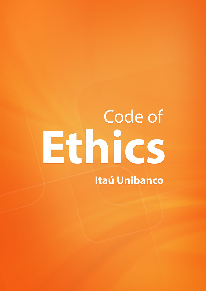# Code of Ethics **Itaú Unibanco**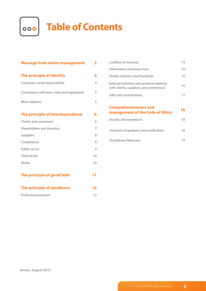

## **Table of Contents**

| <b>Message from senior management</b>       | 3  |
|---------------------------------------------|----|
| The principle of identity                   | 4  |
| Corporate social responsibility             | 4  |
| Compliance with laws, rules and regulations | 5  |
| Work relations                              | 5  |
| The principle of interdependence            | 6  |
| Clients and consumers                       | 6  |
| Shareholders and investors                  | 7  |
| Suppliers                                   | 8  |
| Competitors                                 | 8  |
| Public sector                               | 9  |
| Third sector                                | 10 |
| Media                                       | 10 |
| The principle of good faith                 | 11 |
| The principle of excellence                 | 12 |
| Professional posture                        | 12 |

| Conflicts of interests                                                                | 14 |
|---------------------------------------------------------------------------------------|----|
| Information and know-how                                                              | 15 |
| Family relations and friendship                                                       | 16 |
| External activities and personal relations<br>with clients, suppliers, and commercial | 16 |
| Gifts and contributions                                                               | 17 |
|                                                                                       |    |
|                                                                                       |    |
| <b>Comprehensiveness and</b><br>management of the Code of Ethics                      | 18 |
| Doubts and exceptions                                                                 | 18 |
| Channels of guidance and notification                                                 | 18 |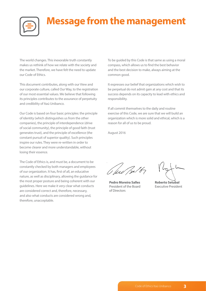

### **Message from the management**

The world changes. This inexorable truth constantly makes us rethink of how we relate with the society and the market. Therefore, we have felt the need to update our Code of Ethics.

This document contributes, along with our View and our corporate culture, called Our Way, to the registration of our most essential values. We believe that following its principles contributes to the assurance of perpetuity and credibility of Itaú Unibanco.

Our Code is based on four basic principles: the principle of identity (which distinguishes us from the other companies), the principle of interdependence (drive of social community), the principle of good faith (trust generates trust), and the principle of excellence (the constant pursuit of superior quality). Such principles inspire our rules. They were re-written in order to become clearer and more understandable, without losing their essence.

The Code of Ethics is, and must be, a document to be constantly checked by both managers and employees of our organization. It has, first of all, an educative nature, as well as disciplinary, allowing the guidance for the most proper posture and being coherent with our guidelines. Here we make it very clear what conducts are considered correct and, therefore, necessary, and also what conducts are considered wrong and, therefore, unacceptable.

To be guided by this Code is that same as using a moral compass, which allows us to find the best behavior and the best decision to make, always aiming at the common good.

It expresses our belief that organizations which wish to be perpetual do not admit gain at any cost and that its success depends on its capacity to lead with ethics and responsibility.

If all commit themselves to the daily and routine exercise of this Code, we are sure that we will build an organization which is more solid and ethical, which is a reason for all of us to be proud.

August 2016

O few 1216

**Pedro Moreira Salles** President of the Board of Directors

**Roberto Setubal** Executive President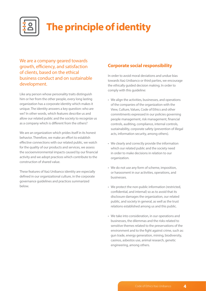

### **The principle of identity**

We are a company geared towards growth, efficiency, and satisfaction of clients, based on the ethical business conduct and on sustainable development.

Like any person whose personality traits distinguish him or her from the other people, every long lasting organization has a corporate identity which makes it unique. The identity answers a key question: who are we? In other words, which features describe us and allow our related public and the society to recognize us as a company which is different from the others?

We are an organization which prides itself in its honest behavior. Therefore, we make an effort to establish effective connections with our related public, we watch for the quality of our products and services, we assess the socioenvironmental impacts caused by our financial activity and we adopt practices which contribute to the construction of shared value.

These features of Itaú Unibanco identity are especially defined in our organizational culture, in the corporate governance guidelines and practices summarized below.

#### **Corporate social responsibility**

In order to avoid moral deviations and undue bias towards Itaú Unibanco or third parties, we encourage the ethically guided decision making. In order to comply with this guideline:

- We align the activities, businesses, and operations of the companies of the organization with the View, Culture, Values, Code of Ethics and other commitments expressed in our policies governing people management, risk management, financial controls, auditing, compliance, internal controls, sustainability, corporate safety (prevention of illegal acts, information security, among others).
- We clearly and correctly provide the information which our related public and the society need in order to make decisions in relation to our organization.
- We do not use any form of scheme, imposition, or harassment in our activities, operations, and businesses.
- We protect the non-public information (restricted, confidential, and internal) so as to avoid that its disclosure damages the organization, our related public, and society in general, as well as the trust relations established among us and this public.
- We take into consideration, in our operations and businesses, the dilemmas and the risks related to sensitive themes related to the preservations of the environment and to the fight against crime, such as: gun trade, energy generation, mining, biodiversity, casinos, asbestos use, animal research, genetic engineering, among others.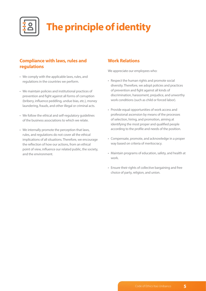

### **The principle of identity**

#### **Compliance with laws, rules and regulations**

- We comply with the applicable laws, rules, and regulations in the countries we perform.
- We maintain policies and institutional practices of prevention and fight against all forms of corruption (bribery, influence peddling, undue bias, etc.), money laundering, frauds, and other illegal or criminal acts.
- We follow the ethical and self-regulatory guidelines of the business associations to which we relate.
- We internally promote the perception that laws, rules, and regulations do not cover all the ethical implications of all situations. Therefore, we encourage the reflection of how our actions, from an ethical point of view, influence our related public, the society, and the environment.

#### **Work Relations**

We appreciate our employees who:

- Respect the human rights and promote social diversity. Therefore, we adopt policies and practices of prevention and fight against all kinds of discrimination, harassment, prejudice, and unworthy work conditions (such as child or forced labor).
- Provide equal opportunities of work access and professional ascension by means of the processes of selection, hiring, and promotion, aiming at identifying the most proper and qualified people according to the profile and needs of the position.
- Compensate, promote, and acknowledge in a proper way based on criteria of meritocracy.
- Maintain programs of education, safety, and health at work.
- Ensure their rights of collective bargaining and free choice of party, religion, and union.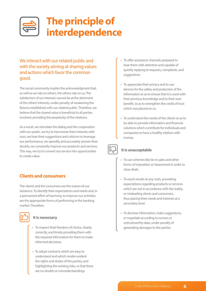

We interact with our related public and with the society aiming at sharing values and actions which favor the common good.

The social community implies the acknowledgment that, as well as we rely on others, the others rely on us. The satisfaction of our interests cannot be at the detriment of the others' interests, under penalty of weakening the liaisons established with our related public. Therefore, we believe that the shared value is beneficial to all parties involved, providing the perpetuity of the relations.

As a result, we stimulate the dialog and the cooperation with our public, we try to harmonize their interests with ours, we hear their suggestions and criticism to leverage our performance, we speedily and accurately answer their doubts, we constantly improve our products and services. This way, we try to convert our service into opportunities to create value.

#### **Clients and consumers**

The clients and the consumers are the reason of our existence. To identify their expectations and needs and, in a permanent effort of harmony, to improve our activities are the appropriate forms of performing in the banking market. Therefore:



#### **It is necessary**

- To respect their freedom of choice, clearly, correctly, and timely providing them with the required information for them to make informed decisions.
- To adopt contracts which are easy to understand and which render evident the rights and duties of the parties, and highlighting the existing risks, so that there are no doubts or misunderstandings.
- To offer assistance channels prepared to hear them with attention and capable of quickly replying to requests, complaints, and suggestions.
- To appreciate their privacy and to use devices for the safety and protection of the information so as to ensure that it is used with their previous knowledge and to their own benefit, so as to strengthen the credit of trust which was placed on us.
- To understand the needs of the clients so as to be able to provide information and financial solutions which contribute for individuals and companies to have a healthy relation with money.

- To use schemes like tie-in sales and other forms of imposition or harassment in order to close deals.
- To reach results at any costs, provoking expectations regarding products or services which are not in accordance with the reality, or misleading clients and consumers, thus placing their needs and interests at a secondary level.
- To disclose information, make suggestions, or negotiate according to rumors or untrustworthy data, under penalty of generating damages to the parties.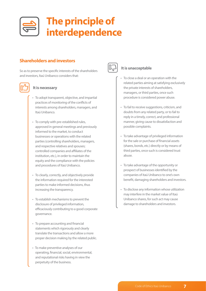

#### **Shareholders and investors**

So as to preserve the specific interests of the shareholders and investors, Itaú Unibanco considers that:



#### **It is necessary**

- To adopt transparent, objective, and impartial practices of monitoring of the conflicts of interests among shareholders, managers, and Itaú Unibanco.
- To comply with pre-established rules, approved in general meetings and previously informed to the market, to conduct businesses or operations with the related parties (controlling shareholders, managers, and respective relatives and spouses; controlled companies and affiliates of the institution, etc.), in order to maintain the equity and the compliance with the policies and procedures of Itaú Unibanco.
- To clearly, correctly, and objectively provide the information required for the interested parties to make informed decisions, thus increasing the transparency.
- To establish mechanisms to prevent the disclosure of privileged information, efficaciously contributing to a good corporate governance.
- To prepare accounting and financial statements which rigorously and clearly translate the transactions and allow a more proper decision making by the related public.
- To make preventive analyses of our operating, financial, social, environmental, and reputational risks having in view the perpetuity of the business.



- To close a deal or an operation with the related parties aiming at satisfying exclusively the private interests of shareholders, managers, or third parties, once such procedure is considered power abuse.
- To fail to receive suggestions, criticism, and doubts from any related party, or to fail to reply in a timely, correct, and professional manner, giving cause to dissatisfaction and possible complaints.
- To take advantage of privileged information for the sale or purchase of financial assets (shares, bonds, etc.) directly or by means of third parties, once such is considered trust abuse.
- To take advantage of the opportunity or prospect of businesses identified by the companies of itaú Unibanco to one's own benefit, damaging shareholders and investors.
- To disclose any information whose utilization may interfere in the market value of Itaú Unibanco shares, for such act may cause damage to shareholders and investors.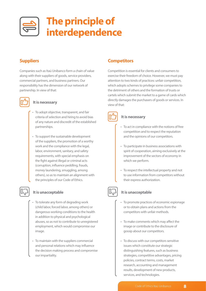

#### **Suppliers**

Companies such as Itaú Unibanco form a chain of value along with their suppliers of goods, service providers, commercial partners, and business partners. Our responsibility has the dimension of our network of partnership. In view of that:



#### **It is necessary**

- To adopt objective, transparent, and fair criteria of selection and hiring to avoid bias of any nature and discredit of the established partnerships.
- To support the sustainable development of the suppliers, the promotion of a worthy work and the compliance with the legal, labor, environment, sanitary, and safety requirements, with special emphasis on the fight against illegal or criminal acts (corruption, influence peddling, frauds, money laundering, smuggling, among others), so as to maintain an alignment with the principles of our Code of Ethics.

#### **It is unacceptable**

- To tolerate any form of degrading work (child labor, forced labor, among others) or dangerous working conditions to the health in addition to physical and psychological abuses, so as not to contribute to unregistered employment, which would compromise our image.
- To maintain with the suppliers commercial and personal relations which may influence the decision making process and compromise our impartiality.

#### **Competitors**

Competition is essential for clients and consumers to exercise their freedom of choice. However, we must pay attention to two kinds of practices: unfair competition, which adopts schemes to privilege some companies to the detriment of others and the formation of trusts or cartels which submit the market to a game of cards which directly damages the purchasers of goods or services. In view of that:



#### **It is necessary**

- To act in compliance with the notions of free competition and to respect the reputation and the opinions of our competitors.
- To participate in business associations with spirit of cooperation, aiming exclusively at the improvement of the sectors of economy in which we perform.
- To respect the intellectual property and not to use information from competitors without their express authorization.



- To promote practices of economic espionage or to obtain plans and actions from the competitors with unfair methods.
- To make comments which may affect the image or contribute to the disclosure of gossip about our competitors.
- To discuss with our competitors sensitive issues which constitute our strategic distinguishing features, such as business strategies, competitive advantages, pricing policies, contract terms, costs, market research, accounting and management results, development of new products, services, and technologies.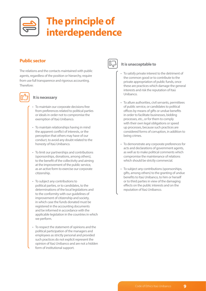

#### **Public sector**

The relations and the contacts maintained with public agents, regardless of the position or hierarchy, require from use full transparence and rigorous accounting. Therefore:



#### **It is necessary**

- To maintain our corporate decisions free from preferences related to political parties or ideals in order not to compromise the exemption of Itaú Unibanco.
- To maintain relationships having in mind the apparent conflict of interests, or the perception that others may have of our conduct, to avoid any doubt related to the honesty of Itaú Unibanco.
- To limit our partnerships and contributions (sponsorships, donations, among others), to the benefit of the collectivity and aiming at the improvement of the public service, as an active form to exercise our corporate citizenship.
- To subject any contributions to political parties, or to candidates, to the determinations of the local legislations and to the conformity with our guidelines of improvement of citizenship and society, in which case the funds donated must be registered in the accounting documents and be informed in accordance with the applicable legislation in the countries in which we perform.
- To respect the statement of opinions and the political participation of the managers and employees as strictly personal and provided such practices do not explicit represent the opinion of Itaú Unibanco and are not a hidden form of institutional support.



- To satisfy private interest to the detriment of the common good or to contribute to the private appropriation of public funds, once these are practices which damage the general interests and risk the reputation of Itaú Unibanco.
- To allure authorities, civil servants, permittees of public service, or candidates to political offices by means of gifts or undue benefits in order to facilitate businesses, bidding processes, etc., or for them to comply with their own legal obligations or speed up processes, because such practices are considered forms of corruption, in addition to being crimes.
- To demonstrate any corporate preferences for acts and declarations of government agents, as well as to make political comments which compromise the maintenance of relations which should be strictly commercial.
- To subject any contributions (sponsorships, gifts, among others) to the granting of undue benefits to Itaú Unibanco, to him or herself or to third parties in view of the damaging effects on the public interests and on the reputation of Itaú Unibanco.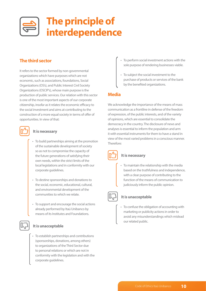

#### **The third sector**

It refers to the sector formed by non-governmental organizations which have purposes which are not economic, such as associations, foundations, Social Organizations (OS's), and Public Interest Civil Society Organizations (OSCIP's), whose main purpose is the production of public services. Our relation with this sector is one of the most important aspects of our corporate citizenship, insofar as it relates the economic efficacy to the social investment and aims at contributing to the construction of a more equal society in terms of offer of opportunities. In view of that:



#### **It is necessary**

- To build partnerships aiming at the promotion of the sustainable development of society so as not to compromise the capacity of the future generations of satisfying their own needs, within the strict limits of the local legislations and in conformity with our corporate guidelines.
- To destine sponsorships and donations to the social, economic, educational, cultural, and environmental development of the communities to which we relate.
- To support and encourage the social actions already performed by Itaú Unibanco by means of its Institutes and Foundations.

#### **It is unacceptable**

• To establish partnerships and contributions (sponsorships, donations, among others) to organizations of the Third Sector due to personal relations or which are not in conformity with the legislation and with the corporate guidelines.

- To perform social investment actions with the sole purpose of rendering businesses viable.
- To subject the social investment to the purchase of products or services of the bank by the benefited organizations.

#### **Media**

We acknowledge the importance of the means of mass communication as a frontline in defense of the freedom of expression, of the public interests, and of the variety of opinions, which are essential to consolidate the democracy in the country. The disclosure of news and analyses is essential to inform the population and arm it with essential instruments for them to have a stand in view of the most varied problems in a conscious manner. Therefore:



#### **It is necessary**

• To maintain the relationship with the media based on the truthfulness and independence, with a clear purpose of contributing to the function of the means of communication to judiciously inform the public opinion.



#### **It is unacceptable**

• To confuse the obligation of accounting with marketing or publicity actions in order to avoid any misunderstandings which mislead our related public.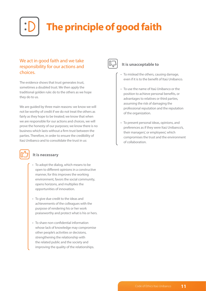# **The principle of good faith**

#### We act in good faith and we take responsibility for our actions and choices.

The evidence shows that trust generates trust, sometimes a doubled trust. We then apply the traditional golden rule: do to the others as we hope they do to us.

We are guided by three main reasons: we know we will not be worthy of credit if we do not treat the others as fairly as they hope to be treated; we know that when we are responsible for our actions and choices, we will prove the honesty of our purposes; we know there is no business which lasts without a firm trust between the parties. Therefore, in order to ensure the credibility of Itaú Unibanco and to consolidate the trust in us:



#### **It is necessary**

- To adopt the dialog, which means to be open to different opinions in a constructive manner, for this improves the working environment, favors the social community, opens horizons, and multiplies the opportunities of innovation.
- To give due credit to the ideas and achievements of the colleagues with the purpose of rendering his or her work praiseworthy and protect what is his or hers.
- To share non-confidential information whose lack of knowledge may compromise other people's activities or decisions, strengthening the relationship with the related public and the society and improving the quality of the relationships.



- To mislead the others, causing damage, even if it is to the benefit of Itaú Unibanco.
- To use the name of Itaú Unibanco or the position to achieve personal benefits, or advantages to relatives or third parties, assuming the risk of damaging the professional reputation and the reputation of the organization.
- To present personal ideas, opinions, and preferences as if they were Itaú Unibanco's, their managers', or employees', which compromises the trust and the environment of collaboration.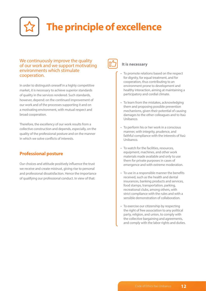

#### We continuously improve the quality of our work and we support motivating environments which stimulate cooperation.

In order to distinguish oneself in a highly competitive market, it is necessary to achieve superior standards of quality in the services rendered. Such standards, however, depend: on the continued improvement of our work and of the processes supporting it and on a motivating environment, with mutual respect and broad cooperation.

Therefore, the excellency of our work results from a collective construction and depends, especially, on the quality of the professional posture and on the manner in which we solve conflicts of interests.

#### **Professional posture**

Our choices and attitude positively influence the trust we receive and create mistrust, giving rise to personal and professional dissatisfaction. Hence the importance of qualifying our professional conduct. In view of that:



#### **It is necessary**

- To promote relations based on the respect for dignity, for equal treatment, and for cooperation, thus contributing to an environment prone to development and healthy interaction, aiming at maintaining a participatory and cordial climate.
- To learn from the mistakes, acknowledging them and proposing possible prevention mechanisms, given their potential of causing damages to the other colleagues and to Itaú Unibanco.
- To perform his or her work in a conscious manner, with integrity, prudence, and faithful compliance with the interests of Itaú Unibanco.
- To watch for the facilities, resources, equipment, machines, and other work materials made available and only to use them for private purposes in cases of emergence and with extreme moderation.
- To use in a responsible manner the benefits received, such as the health and dental insurances, banking products and services, food stamps, transportation, parking, recreational clubs, among others, with strict compliance with the rules and with a sensible demonstration of collaboration.
- To exercise our citizenship by respecting the right of free association to any political party, religion, and union, to comply with the collective bargaining and agreements, and comply with the labor rights and duties.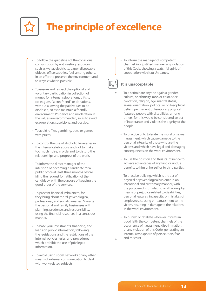

- To follow the guidelines of the conscious consumption by not wasting resources, such as water, electricity, paper, disposable objects, office supplies, fuel, among others, in an effort to preserve the environment and to recycle what is possible.
- To ensure and respect the optional and voluntary participation in collection of money for internal celebrations, gifts to colleagues, "secret friend", or donations, without allowing the paid values to be disclosed, so as to maintain a friendly environment. Prudence and moderation in the values are recommended, so as to avoid exaggeration, suspicions, and gossips.
- To avoid raffles, gambling, bets, or games with prizes.
- To control the use of alcoholic beverages in the internal celebrations and not to make too much noise, in order not to disturb the relationships and progress of the work.
- To inform the direct manager of the intention of becoming a candidate for a public office at least three months before filing the request for ratification of the candidacy, with the purpose of keeping the good order of the services.
- To prevent financial imbalances, for they bring about moral, psychological, professional, and social damages. Manage the personal and family businesses with planning, prudence, and responsibility, using the financial resources in a conscious manner.
- To base your investments, financing, and loans on public information, following the legislations and the restrictions of the internal policies, rules, and procedures which prohibit the use of privileged information.
- To avoid using social networks or any other means of external communication to deal with work-related subjects.

• To inform the manager of competent channel, in a justified manner, any violation of this Code, showing a watchful spirit of cooperation with Itaú Unibanco.



- To discriminate anyone against gender, culture, or ethnicity, race, or color, social condition, religion, age, marital status, sexual orientation, political or philosophical beliefs, permanent or temporary physical features, people with disabilities, among others, for this would be considered an act of intolerance and violates the dignity of the people.
- To practice or to tolerate the moral or sexual harassment, which cause damage to the personal integrity of those who are the victims and which have legal and damaging consequences on the work environment.
- To use the position and thus its influence to achieve advantages of any kind or undue benefits to him or herself or to third parties.
- To practice bullying, which is the act of physical or psychological violence in an intentional and customary manner, with the purpose of intimidating or attacking, by means of prejudice related to disabilities, personal features, incapacity, or mistakes of employees, causing embarrassment to the victim, resulting in damage to the relations in the work environment.
- To punish or retaliate whoever informs in good faith the competent channels of the occurrence of harassment, discrimination, or any violation of this Code, generating an internal atmosphere of persecution, fear, and mistrust.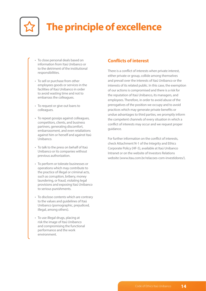

- To close personal deals based on information from Itaú Unibanco or to the detriment of the institutional responsibilities.
- To sell or purchase from other employees goods or services in the facilities of Itaú Unibanco in order to avoid wasting time and not to embarrass the colleagues.
- To request or give out loans to colleagues.
- To repeat gossips against colleagues, competitors, clients, and business partners, generating discomfort, embarrassment, and even retaliations against him or herself and against Itaú Unibanco.
- To talk to the press on behalf of Itaú Unibanco or its companies without previous authorization.
- To perform or tolerate businesses or operations which may contribute to the practice of illegal or criminal acts, such as corruption, bribery, money laundering, or fraud, violating legal provisions and exposing Itaú Unibanco to serious punishments.
- To disclose contents which are contrary to the values and guidelines of Itaú Unibanco (pornographic, prejudiced, illegal, among others).
- To use illegal drugs, placing at risk the image of Itaú Unibanco and compromising the functional performance and the work environment.

#### **Conflicts of interest**

There is a conflict of interests when private interest, either private or group, collide among themselves and prevail over the interests of Itaú Unibanco or the interests of its related public. In this case, the exemption of our actions is compromised and there is a risk for the reputation of Itaú Unibanco, its managers, and employees. Therefore, in order to avoid abuse of the prerogatives of the position we occupy and to avoid practices which may generate private benefits or undue advantages to third parties, we promptly inform the competent channels of every situation in which a conflict of interests may occur and we request proper guidance.

For further information on the conflict of interests, check Attachment N-1 of the Integrity and Ethics Corporate Policy (HF-5), available at Itaú Unibanco Intranet or on the website of Investors Relations website (www.itau.com.br/relacoes-com-investidores/).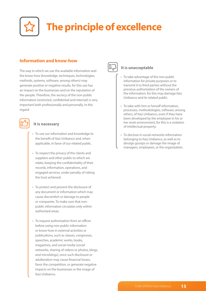

#### **Information and know-how**

The way in which we use the available information and the know-how (knowledge, techniques, technologies, methods, systems, software, among others) may generate positive or negative results, for this use has an impact on the businesses and on the reputation of the people. Therefore, the secrecy of the non-public information (restricted, confidential and internal) is very important both professionally and personally. In this regard:



#### **It is necessary**

- To use our information and knowledge to the benefit of Itaú Unibanco and, when applicable, in favor of our related public.
- To respect the privacy of the clients and suppliers and other public to which we relate, keeping the confidentiality of their records, information, operations, and engaged services, under penalty of risking the trust achieved.
- To protect and prevent the disclosure of any document or information which may cause discomfort or damage to people or companies. To make sure that nonpublic information circulates only within authorized areas.
- To request authorization from an officer before using non-public information or know-how in external activities or publications, such as classes, congresses, speeches, academic works, books, magazines, and social media (social networks, sharing of videos or photos, blogs, and microblogs), once such disclosure or adulteration may cause financial losses, favor the competition, or generate negative impacts on the businesses or the image of Itaú Unibanco.



- To take advantage of the non-public information for private purposes or to transmit it to third parties without the previous authorization of the owners of the information, for this may damage Itaú Unibanco and its related public.
- To take with him or herself information, processes, methodologies, software, among others, of Itaú Unibanco, even if they have been developed by the employee in his or her work environment, for this is a violation of intellectual property.
- To disclose in social networks information belonging to Itaú Unibanco, as well as to divulge gossips or damage the image of managers, employees, or the organization.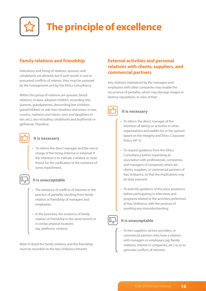

#### **Family relations and friendship**

Indications and hiring of relatives, spouses, and cohabitants are allowed, but if such results in real or presumed conflicts of interest, they must be assessed by the management and by the Ethics Consultancy.

Within this group of relations are spouses, blood relations, in-laws, adopted children, ascending line (parents, grandparents), descending line (children, grandchildren) or side lines (brothers and sisters in-law, cousins, nephews and nieces, sons and daughters inlaw, etc.); also including cohabitants and boyfriends or girlfriends. Therefore:



#### **It is necessary**

• To inform the direct manager and the one in charge of the hiring (internal or external) if the intention is to indicate a relative or close friend, for the verification of the existence of some impediment.



#### **It is unacceptable**

- The existence of conflicts of interests or the practice of partiality resulting from family relation or friendship of managers and employees.
- In the branches, the existence of family relation or friendship in the same branch or in similar physical locations (eg: platforms, centers).

Note: In Brazil the family relations and the friendship must be recorded on the Itaú Unibanco Intranet.

#### **External activities and personal relations with clients, suppliers, and commercial partners**

Any relations maintained by the managers and employees with other companies may enable the occurrence of partiality, which may damage images or destroy reputations. In view of that:



#### **It is necessary**

- To inform the direct manager of the intention of taking on activities in other organizations and waitfor his or her opinion based on the Integrity and Ethics Corporate Policy (HF-5).
- To request guidance from the Ethics Consultancy before organizing an association with professionals, companies, and managers of companies which are clients, suppliers, or commercial partners of Itaú Unibanco, so that the implications may be duly assessed.
- To seek the guidance of the press assistance before participating in interviews and programs related to the activities performed at Itaú Unibanco, with the purpose of avoiding any misunderstanding.

#### **It is unacceptable**

• To hire suppliers, service providers, or commercial partners who have a relation with managers or employees (eg: family relations, interest in companies, etc.) so as to generate conflicts of interests.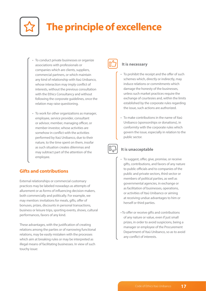

- To conduct private businesses or organize associations with professionals or companies which are clients, suppliers, commercial partners, or which maintain any kind of relationship with Itaú Unibanco, whose interaction may imply conflict of interests, without the previous consultation with the Ethics Consultancy and without following the corporate guidelines, once the relation may raise questioning.
- To work for other organizations as manager, employee, service provider, consultant or advisor, member, managing officer, or member-investor, whose activities are somehow in conflict with the activities performed by Itaú Unibanco, due to their nature, to the time spent on them, insofar as such situation creates dilemmas and may subtract part of the attention of the employee.

#### **Gifts and contributions**

External relationships or commercial customary practices may be labeled nowadays as attempts of allurement or as forms of influencing decision makers, both commercially and politically. For example, we may mention: invitations for meals, gifts, offer of bonuses, prizes, discounts in personal transactions, business or leisure trips, sporting events, shows, cultural performances, favors of any kind.

These advantages, with the justification of creating relations among the parties or of narrowing functional relations, may be easily mistaken with the processes which aim at breaking rules or may be interpreted as illegal means of facilitating businesses. In view of such touchy issue:



#### **It is necessary**

- To prohibit the receipt and the offer of such schemes which, directly or indirectly, may induce relations or commitments which damage the honesty of the businesses, unless such market practices require the exchange of courtesies and, within the limits established by the corporate rules regarding the issue, such actions are authorized.
- To make contributions in the name of Itaú Unibanco (sponsorships or donations), in conformity with the corporate rules which govern the issue, especially in relation to the public sector.

- To suggest, offer, give, promise, or receive gifts, contributions, and favors of any nature to public officials and to companies of the public and private sectors, third sector or members of political parties, as well as governmental agencies, in exchange or as facilitation of businesses, operations, or activities of Itaú Unibanco or aiming at receiving undue advantages to him or herself or third parties.
- To offer or receive gifts and contributions of any nature or value, even if just small prizes, in order to avoid suspicions, being a manager or employee of the Procurement Department of Itaú Unibanco, so as to avoid any conflict of interests.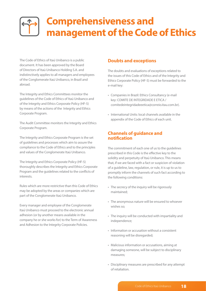### **Comprehensiveness and management of the Code of Ethics**

The Code of Ethics of Itaú Unibanco is a public document. It has been approved by the Board of Directors of Itaú Unibanco Holding S.A. and indistinctively applies to all managers and employees of the Conglomerate Itaú Unibanco, in Brazil and abroad.

The Integrity and Ethics Committees monitor the guidelines of the Code of Ethics of Itaú Unibanco and of the Integrity and Ethics Corporate Policy (HF-5) by means of the actions of the Integrity and Ethics Corporate Program.

The Audit Committee monitors the Integrity and Ethics Corporate Program.

The Integrity and Ethics Corporate Program is the set of guidelines and processes which aim to assure the compliance to the Code of Ethics and to the principles and values of the Conglomerate Itaú Unibanco.

The Integrity and Ethics Corporate Policy (HF-5) thoroughly describes the Integrity and Ethics Corporate Program and the guidelines related to the conflicts of interests.

Rules which are more restrictive than this Code of Ethics may be adopted by the areas or companies which are part of the Conglomerate Itaú Unibanco.

Every manager and employee of the Conglomerate Itaú Unibanco must proceed to the electronic annual adhesion (or by another means available in the company he or she works for) to the Term of Awareness and Adhesion to the Integrity Corporate Policies.

#### **Doubts and exceptions**

The doubts and evaluations of exceptions related to the issues of this Code of Ethics and of the Integrity and Ethics Corporate Policy (HF-5) must be forwarded to the e-mail key:

- Companies in Brazil: Ethics Consultancy (e-mail key: COMITE DE INTEGRIDADE E ETICA / comitedeintegridadeeetica@correio.itau.com.br).
- International Units: local channels available in the appendix of the Code of Ethics of each unit.

#### **Channels of guidance and notification**

The commitment of each one of us to the guidelines prescribed in this Code is the effective key to the solidity and perpetuity of Itaú Unibanco. This means that, if we are faced with a fact or suspicion of violation of a guideline, law, regulation, or rule, it is up to us to promptly inform the channels of such fact according to the following conditions:

- The secrecy of the inquiry will be rigorously maintained;
- The anonymous nature will be ensured to whoever wishes so;
- The inquiry will be conducted with impartiality and independence;
- Information or accusation without a consistent reasoning will be disregarded;
- Malicious information or accusations, aiming at damaging someone, will be subject to disciplinary measures;
- Disciplinary measures are prescribed for any attempt of retaliation.